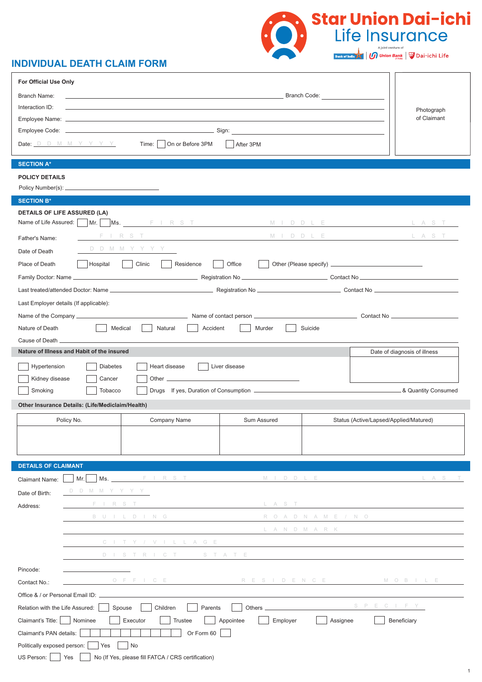

# **INDIVIDUAL DEATH CLAIM FORM**

|                                 | For Official Use Only                            |                                                                                                                       |                       |                                        |                                       |
|---------------------------------|--------------------------------------------------|-----------------------------------------------------------------------------------------------------------------------|-----------------------|----------------------------------------|---------------------------------------|
| Branch Name:                    |                                                  | the contract of the contract of the contract of the contract of the contract of the contract of the contract of       |                       | Branch Code:                           |                                       |
| Interaction ID:                 |                                                  |                                                                                                                       |                       |                                        | Photograph                            |
| Employee Name: __               |                                                  |                                                                                                                       |                       |                                        | of Claimant                           |
|                                 |                                                  |                                                                                                                       |                       |                                        |                                       |
|                                 | Date: $D$ D M M Y Y Y Y                          | Time:     On or Before 3PM                                                                                            | After 3PM             |                                        |                                       |
| <b>SECTION A*</b>               |                                                  |                                                                                                                       |                       |                                        |                                       |
| <b>POLICY DETAILS</b>           |                                                  |                                                                                                                       |                       |                                        |                                       |
|                                 |                                                  |                                                                                                                       |                       |                                        |                                       |
| <b>SECTION B*</b>               |                                                  |                                                                                                                       |                       |                                        |                                       |
|                                 | <b>DETAILS OF LIFE ASSURED (LA)</b>              |                                                                                                                       |                       |                                        |                                       |
|                                 |                                                  | Name of Life Assured: Mr. Ms. FIRST MIDDLE LAST                                                                       |                       |                                        |                                       |
| Father's Name:                  |                                                  | FIRST <u>Constantine Communication</u>                                                                                |                       | M I D D L E L A S T                    |                                       |
| Date of Death                   |                                                  | D D M M Y Y Y Y                                                                                                       |                       |                                        |                                       |
| Place of Death                  | Hospital                                         | Clinic                                                                                                                |                       |                                        |                                       |
|                                 |                                                  |                                                                                                                       |                       |                                        |                                       |
|                                 |                                                  |                                                                                                                       |                       |                                        |                                       |
|                                 | Last Employer details (If applicable):           |                                                                                                                       |                       |                                        |                                       |
|                                 |                                                  |                                                                                                                       |                       |                                        |                                       |
| Nature of Death                 |                                                  | Medical<br>Accident                                                                                                   | Murder                | Suicide                                |                                       |
|                                 |                                                  | Natural                                                                                                               |                       |                                        |                                       |
|                                 | Nature of Illness and Habit of the insured       |                                                                                                                       |                       |                                        | Date of diagnosis of illness          |
|                                 |                                                  |                                                                                                                       |                       |                                        |                                       |
| Hypertension                    | <b>Diabetes</b>                                  | Heart disease                                                                                                         | Liver disease         |                                        |                                       |
| Kidney disease                  | Cancer                                           |                                                                                                                       |                       |                                        |                                       |
| Smoking                         | Tobacco                                          |                                                                                                                       |                       |                                        | <b>EXAMPLE 2018</b> Quantity Consumed |
|                                 | Other Insurance Details: (Life/Mediclaim/Health) |                                                                                                                       |                       |                                        |                                       |
|                                 |                                                  |                                                                                                                       |                       |                                        |                                       |
|                                 | Policy No.                                       | Company Name                                                                                                          | Sum Assured           | Status (Active/Lapsed/Applied/Matured) |                                       |
|                                 |                                                  |                                                                                                                       |                       |                                        |                                       |
|                                 |                                                  |                                                                                                                       |                       |                                        |                                       |
|                                 |                                                  |                                                                                                                       |                       |                                        |                                       |
| <b>DETAILS OF CLAIMANT</b>      |                                                  |                                                                                                                       |                       |                                        |                                       |
| <b>Claimant Name:</b>           | Mr.                                              |                                                                                                                       |                       | M I D D L E L A S T                    |                                       |
| Date of Birth:                  | D D M M Y Y Y Y                                  |                                                                                                                       |                       |                                        |                                       |
| Address:                        | F I R S T                                        | <u> Albanya (Albanya) albanyi albanyi albanyi albanyi albanyi albanyi albanyi albanyi albanyi albanyi albanyi alb</u> |                       |                                        |                                       |
|                                 |                                                  | B U I L D I N G                                                                                                       |                       | R O A D N A M E / N O                  |                                       |
|                                 |                                                  |                                                                                                                       |                       | L A N D M A R K                        |                                       |
|                                 |                                                  | C I T Y / V I L L A G E                                                                                               |                       |                                        |                                       |
|                                 |                                                  | DISTRICT STATE                                                                                                        |                       |                                        |                                       |
| Pincode:                        |                                                  |                                                                                                                       |                       |                                        |                                       |
| Contact No.:                    |                                                  | OFFICE RESIDENCE MOBILE                                                                                               |                       |                                        |                                       |
|                                 |                                                  |                                                                                                                       |                       |                                        |                                       |
| Relation with the Life Assured: |                                                  | Children<br>Parents<br>Spouse                                                                                         |                       |                                        | S P E C I F Y                         |
| Claimant's Title:     Nominee   |                                                  | Executor<br>Trustee                                                                                                   | Appointee<br>Employer | Assignee                               | Beneficiary                           |
| Claimant's PAN details:         |                                                  | Or Form 60                                                                                                            |                       |                                        |                                       |
| Politically exposed person:     | Yes                                              | No                                                                                                                    |                       |                                        |                                       |
| US Person:                      | Yes                                              | No (If Yes, please fill FATCA / CRS certification)                                                                    |                       |                                        |                                       |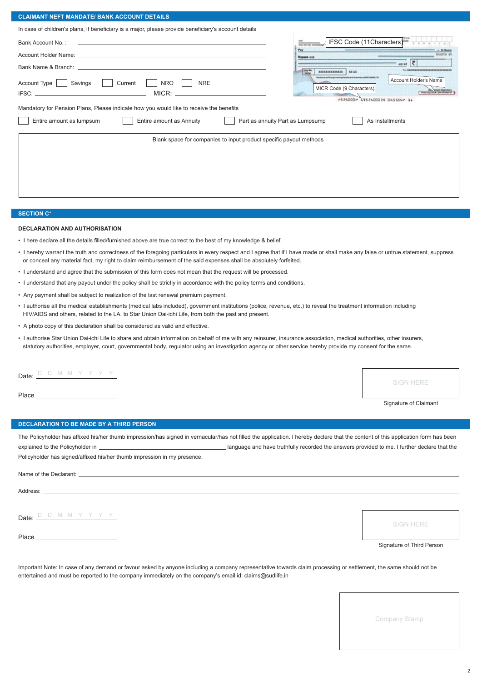## **CLAIMANT NEFT MANDATE/ BANK ACCOUNT DETAILS**

| In case of children's plans, if beneficiary is a major, please provide beneficiary's account details |                                                                                                                                                                   |  |  |  |
|------------------------------------------------------------------------------------------------------|-------------------------------------------------------------------------------------------------------------------------------------------------------------------|--|--|--|
| Bank Account No.:                                                                                    | IFSC Code (11Characters)                                                                                                                                          |  |  |  |
|                                                                                                      | Pay<br>Rupees out                                                                                                                                                 |  |  |  |
|                                                                                                      | sewt <b>Z</b><br><b>Ly BRIDGE CONTRACTOR CONTRACTOR</b><br>$\frac{1}{2}$<br><b>KENNYA KATANATA</b><br>58 AC                                                       |  |  |  |
| Account Type<br><b>NRO</b><br>Savings<br>Current<br><b>NRE</b><br>$MICR:$ $\_\$                      | Payable us per through clearing handler at all transfers or HDPC BANK . TO<br>Account Holder's Name<br>MICR Code (9 Characters)<br>#524000* 6952400020 045504* 31 |  |  |  |
| Mandatory for Pension Plans, Please indicate how you would like to receive the benefits              |                                                                                                                                                                   |  |  |  |
| Entire amount as lumpsum<br>Entire amount as Annuity<br>Part as annuity Part as Lumpsump             | As Installments                                                                                                                                                   |  |  |  |
| Blank space for companies to input product specific payout methods                                   |                                                                                                                                                                   |  |  |  |
|                                                                                                      |                                                                                                                                                                   |  |  |  |
|                                                                                                      |                                                                                                                                                                   |  |  |  |
|                                                                                                      |                                                                                                                                                                   |  |  |  |
|                                                                                                      |                                                                                                                                                                   |  |  |  |

## **SECTION C\***

## **DECLARATION AND AUTHORISATION**

- I here declare all the details filled/furnished above are true correct to the best of my knowledge & belief.
- I hereby warrant the truth and correctness of the foregoing particulars in every respect and I agree that if I have made or shall make any false or untrue statement, suppress or conceal any material fact, my right to claim reimbursement of the said expenses shall be absolutely forfeited.
- I understand and agree that the submission of this form does not mean that the request will be processed.
- I understand that any payout under the policy shall be strictly in accordance with the policy terms and conditions.
- Any payment shall be subject to realization of the last renewal premium payment.
- I authorise all the medical establishments (medical labs included), government institutions (police, revenue, etc.) to reveal the treatment information including HIV/AIDS and others, related to the LA, to Star Union Dai-ichi Life, from both the past and present.
- A photo copy of this declaration shall be considered as valid and effective.
- I authorise Star Union Dai-ichi Life to share and obtain information on behalf of me with any reinsurer, insurance association, medical authorities, other insurers, statutory authorities, employer, court, governmental body, regulator using an investigation agency or other service hereby provide my consent for the same.

Date:  $D$  D M M Y Y Y Y Y

Place

SIGN HERE

Signature of Claimant

## **DECLARATION TO BE MADE BY A THIRD PERSON**

The Policyholder has affixed his/her thumb impression/has signed in vernacular/has not filled the application. I hereby declare that the content of this application form has been explained to the Policyholder in **language and have truthfully recorded the answers provided to me. I further declare that the** 

Policyholder has signed/affixed his/her thumb impression in my presence.

Name of the Declarant:

Address: \_

Date:  $\frac{D \quad D \quad M \quad M \quad Y \quad Y \quad Y \quad Y}$ 

Place

SIGN HERE

## Signature of Third Person

Important Note: In case of any demand or favour asked by anyone including a company representative towards claim processing or settlement, the same should not be entertained and must be reported to the company immediately on the company's email id: claims@sudlife.in

Company Stamp